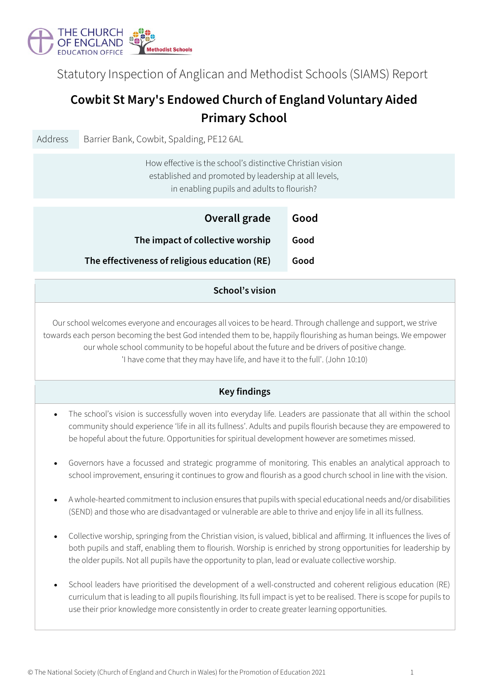

Statutory Inspection of Anglican and Methodist Schools (SIAMS) Report

# **Cowbit St Mary's Endowed Church of England Voluntary Aided Primary School**

| Address                                                                                                                                                                                                                                                                                                                                                                                                                               | Barrier Bank, Cowbit, Spalding, PE12 6AL                                                                                                                                                                                                                                                                                                   |      |  |  |  |  |
|---------------------------------------------------------------------------------------------------------------------------------------------------------------------------------------------------------------------------------------------------------------------------------------------------------------------------------------------------------------------------------------------------------------------------------------|--------------------------------------------------------------------------------------------------------------------------------------------------------------------------------------------------------------------------------------------------------------------------------------------------------------------------------------------|------|--|--|--|--|
|                                                                                                                                                                                                                                                                                                                                                                                                                                       | How effective is the school's distinctive Christian vision<br>established and promoted by leadership at all levels,<br>in enabling pupils and adults to flourish?                                                                                                                                                                          |      |  |  |  |  |
|                                                                                                                                                                                                                                                                                                                                                                                                                                       | Overall grade                                                                                                                                                                                                                                                                                                                              | Good |  |  |  |  |
|                                                                                                                                                                                                                                                                                                                                                                                                                                       | The impact of collective worship                                                                                                                                                                                                                                                                                                           | Good |  |  |  |  |
|                                                                                                                                                                                                                                                                                                                                                                                                                                       | The effectiveness of religious education (RE)                                                                                                                                                                                                                                                                                              | Good |  |  |  |  |
| School's vision                                                                                                                                                                                                                                                                                                                                                                                                                       |                                                                                                                                                                                                                                                                                                                                            |      |  |  |  |  |
| Our school welcomes everyone and encourages all voices to be heard. Through challenge and support, we strive<br>towards each person becoming the best God intended them to be, happily flourishing as human beings. We empower<br>our whole school community to be hopeful about the future and be drivers of positive change.<br>'I have come that they may have life, and have it to the full'. (John 10:10)<br><b>Key findings</b> |                                                                                                                                                                                                                                                                                                                                            |      |  |  |  |  |
| The school's vision is successfully woven into everyday life. Leaders are passionate that all within the school<br>$\bullet$<br>community should experience 'life in all its fullness'. Adults and pupils flourish because they are empowered to<br>be hopeful about the future. Opportunities for spiritual development however are sometimes missed.                                                                                |                                                                                                                                                                                                                                                                                                                                            |      |  |  |  |  |
| Governors have a focussed and strategic programme of monitoring. This enables an analytical approach to<br>$\bullet$<br>school improvement, ensuring it continues to grow and flourish as a good church school in line with the vision.                                                                                                                                                                                               |                                                                                                                                                                                                                                                                                                                                            |      |  |  |  |  |
| A whole-hearted commitment to inclusion ensures that pupils with special educational needs and/or disabilities<br>(SEND) and those who are disadvantaged or vulnerable are able to thrive and enjoy life in all its fullness.                                                                                                                                                                                                         |                                                                                                                                                                                                                                                                                                                                            |      |  |  |  |  |
| Collective worship, springing from the Christian vision, is valued, biblical and affirming. It influences the lives of<br>$\bullet$<br>both pupils and staff, enabling them to flourish. Worship is enriched by strong opportunities for leadership by<br>the older pupils. Not all pupils have the opportunity to plan, lead or evaluate collective worship.                                                                         |                                                                                                                                                                                                                                                                                                                                            |      |  |  |  |  |
|                                                                                                                                                                                                                                                                                                                                                                                                                                       | School leaders have prioritised the development of a well-constructed and coherent religious education (RE)<br>curriculum that is leading to all pupils flourishing. Its full impact is yet to be realised. There is scope for pupils to<br>use their prior knowledge more consistently in order to create greater learning opportunities. |      |  |  |  |  |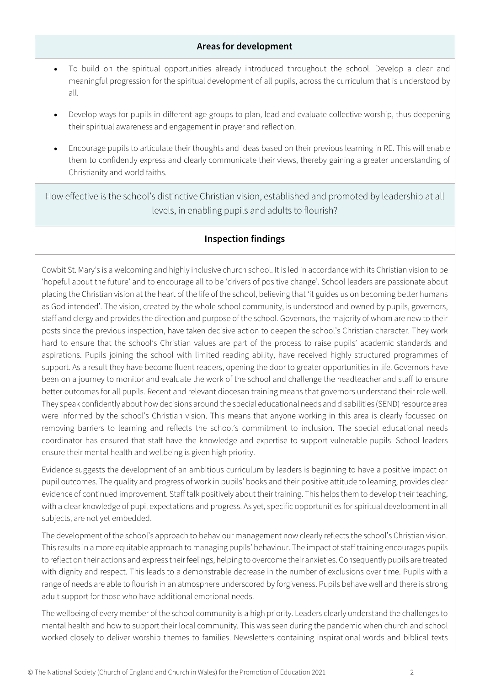### **Areas for development**

- To build on the spiritual opportunities already introduced throughout the school. Develop a clear and meaningful progression for the spiritual development of all pupils, across the curriculum that is understood by all.
- Develop ways for pupils in different age groups to plan, lead and evaluate collective worship, thus deepening their spiritual awareness and engagement in prayer and reflection.
- Encourage pupils to articulate their thoughts and ideas based on their previous learning in RE. This will enable them to confidently express and clearly communicate their views, thereby gaining a greater understanding of Christianity and world faiths.

How effective is the school's distinctive Christian vision, established and promoted by leadership at all levels, in enabling pupils and adults to flourish?

# **Inspection findings**

Cowbit St. Mary's is a welcoming and highly inclusive church school. It is led in accordance with its Christian vision to be 'hopeful about the future' and to encourage all to be 'drivers of positive change'. School leaders are passionate about placing the Christian vision at the heart of the life of the school, believing that 'it guides us on becoming better humans as God intended'. The vision, created by the whole school community, is understood and owned by pupils, governors, staff and clergy and provides the direction and purpose of the school. Governors, the majority of whom are new to their posts since the previous inspection, have taken decisive action to deepen the school's Christian character. They work hard to ensure that the school's Christian values are part of the process to raise pupils' academic standards and aspirations. Pupils joining the school with limited reading ability, have received highly structured programmes of support. As a result they have become fluent readers, opening the door to greater opportunities in life. Governors have been on a journey to monitor and evaluate the work of the school and challenge the headteacher and staff to ensure better outcomes for all pupils. Recent and relevant diocesan training means that governors understand their role well. They speak confidently about how decisions around the special educational needs and disabilities (SEND) resource area were informed by the school's Christian vision. This means that anyone working in this area is clearly focussed on removing barriers to learning and reflects the school's commitment to inclusion. The special educational needs coordinator has ensured that staff have the knowledge and expertise to support vulnerable pupils. School leaders ensure their mental health and wellbeing is given high priority.

Evidence suggests the development of an ambitious curriculum by leaders is beginning to have a positive impact on pupil outcomes. The quality and progress of work in pupils' books and their positive attitude to learning, provides clear evidence of continued improvement. Staff talk positively about their training. This helps them to develop their teaching, with a clear knowledge of pupil expectations and progress. As yet, specific opportunities for spiritual development in all subjects, are not yet embedded.

The development of the school's approach to behaviour management now clearly reflects the school's Christian vision. This results in a more equitable approach to managing pupils' behaviour. The impact of staff training encourages pupils to reflect on their actions and express their feelings, helping to overcome their anxieties. Consequently pupils are treated with dignity and respect. This leads to a demonstrable decrease in the number of exclusions over time. Pupils with a range of needs are able to flourish in an atmosphere underscored by forgiveness. Pupils behave well and there is strong adult support for those who have additional emotional needs.

The wellbeing of every member of the school community is a high priority. Leaders clearly understand the challenges to mental health and how to support their local community. This was seen during the pandemic when church and school worked closely to deliver worship themes to families. Newsletters containing inspirational words and biblical texts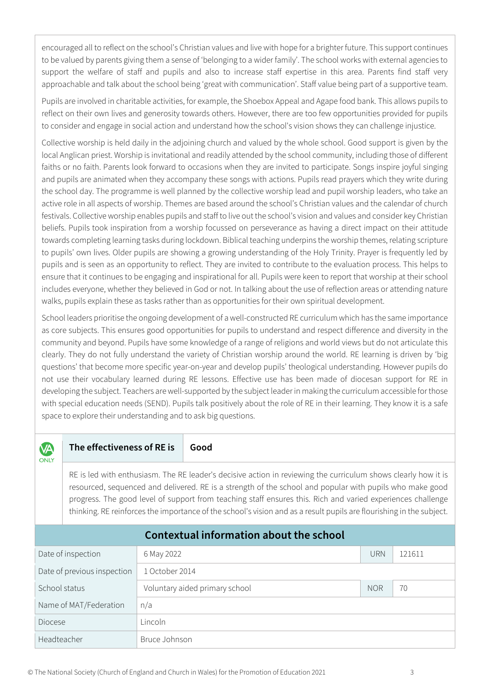encouraged all to reflect on the school's Christian values and live with hope for a brighter future. This support continues to be valued by parents giving them a sense of 'belonging to a wider family'. The school works with external agencies to support the welfare of staff and pupils and also to increase staff expertise in this area. Parents find staff very approachable and talk about the school being 'great with communication'. Staff value being part of a supportive team.

Pupils are involved in charitable activities, for example, the Shoebox Appeal and Agape food bank. This allows pupils to reflect on their own lives and generosity towards others. However, there are too few opportunities provided for pupils to consider and engage in social action and understand how the school's vision shows they can challenge injustice.

Collective worship is held daily in the adjoining church and valued by the whole school. Good support is given by the local Anglican priest. Worship is invitational and readily attended by the school community, including those of different faiths or no faith. Parents look forward to occasions when they are invited to participate. Songs inspire joyful singing and pupils are animated when they accompany these songs with actions. Pupils read prayers which they write during the school day. The programme is well planned by the collective worship lead and pupil worship leaders, who take an active role in all aspects of worship. Themes are based around the school's Christian values and the calendar of church festivals. Collective worship enables pupils and staff to live out the school's vision and values and consider key Christian beliefs. Pupils took inspiration from a worship focussed on perseverance as having a direct impact on their attitude towards completing learning tasks during lockdown. Biblical teaching underpins the worship themes, relating scripture to pupils' own lives. Older pupils are showing a growing understanding of the Holy Trinity. Prayer is frequently led by pupils and is seen as an opportunity to reflect. They are invited to contribute to the evaluation process. This helps to ensure that it continues to be engaging and inspirational for all. Pupils were keen to report that worship at their school includes everyone, whether they believed in God or not. In talking about the use of reflection areas or attending nature walks, pupils explain these as tasks rather than as opportunities for their own spiritual development.

School leaders prioritise the ongoing development of a well-constructed RE curriculum which has the same importance as core subjects. This ensures good opportunities for pupils to understand and respect difference and diversity in the community and beyond. Pupils have some knowledge of a range of religions and world views but do not articulate this clearly. They do not fully understand the variety of Christian worship around the world. RE learning is driven by 'big questions' that become more specific year-on-year and develop pupils' theological understanding. However pupils do not use their vocabulary learned during RE lessons. Effective use has been made of diocesan support for RE in developing the subject. Teachers are well-supported by the subject leader in making the curriculum accessible for those with special education needs (SEND). Pupils talk positively about the role of RE in their learning. They know it is a safe space to explore their understanding and to ask big questions.

#### **VA** ONLY

## **The effectiveness of RE is Good**

RE is led with enthusiasm. The RE leader's decisive action in reviewing the curriculum shows clearly how it is resourced, sequenced and delivered. RE is a strength of the school and popular with pupils who make good progress. The good level of support from teaching staff ensures this. Rich and varied experiences challenge thinking. RE reinforces the importance of the school's vision and as a result pupils are flourishing in the subject.

| <b>Contextual information about the school</b> |                                |            |        |  |  |  |
|------------------------------------------------|--------------------------------|------------|--------|--|--|--|
| Date of inspection                             | 6 May 2022                     | <b>URN</b> | 121611 |  |  |  |
| Date of previous inspection                    | 1 October 2014                 |            |        |  |  |  |
| School status                                  | Voluntary aided primary school | <b>NOR</b> | 70     |  |  |  |
| Name of MAT/Federation                         | n/a                            |            |        |  |  |  |
| <b>Diocese</b>                                 | Lincoln                        |            |        |  |  |  |
| Headteacher                                    | Bruce Johnson                  |            |        |  |  |  |